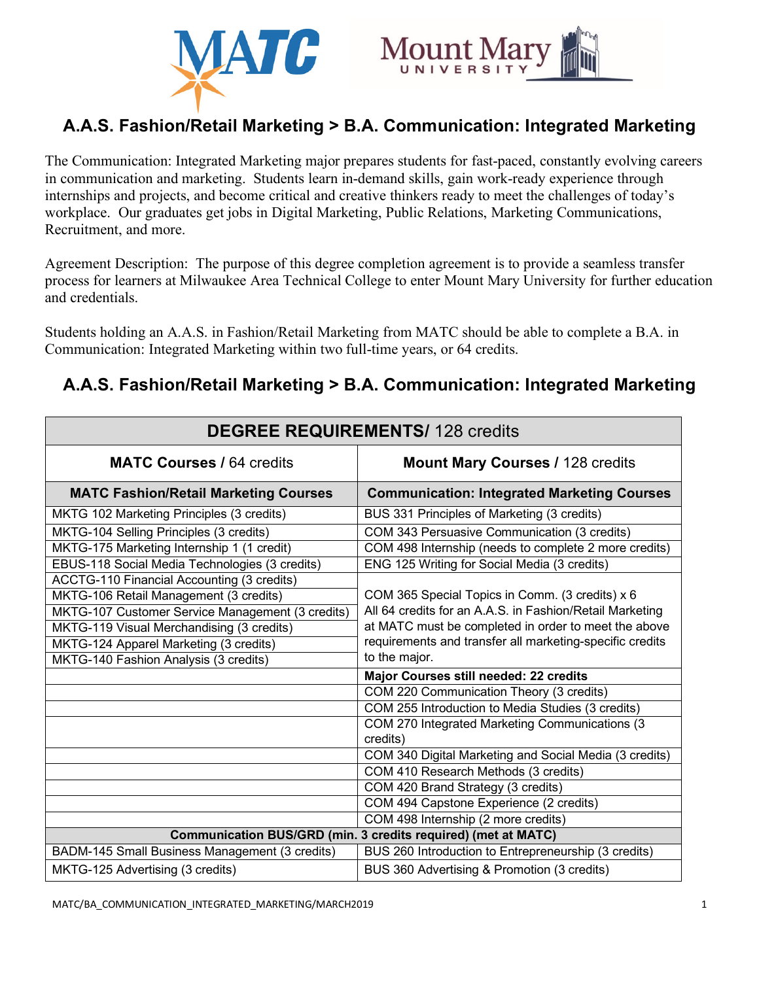



# **A.A.S. Fashion/Retail Marketing > B.A. Communication: Integrated Marketing**

The Communication: Integrated Marketing major prepares students for fast-paced, constantly evolving careers in communication and marketing. Students learn in-demand skills, gain work-ready experience through internships and projects, and become critical and creative thinkers ready to meet the challenges of today's workplace. Our graduates get jobs in Digital Marketing, Public Relations, Marketing Communications, Recruitment, and more.

Agreement Description: The purpose of this degree completion agreement is to provide a seamless transfer process for learners at Milwaukee Area Technical College to enter Mount Mary University for further education and credentials.

Students holding an A.A.S. in Fashion/Retail Marketing from MATC should be able to complete a B.A. in Communication: Integrated Marketing within two full-time years, or 64 credits.

## **A.A.S. Fashion/Retail Marketing > B.A. Communication: Integrated Marketing**

| <b>DEGREE REQUIREMENTS/ 128 credits</b>                       |                                                            |
|---------------------------------------------------------------|------------------------------------------------------------|
| <b>MATC Courses / 64 credits</b>                              | <b>Mount Mary Courses / 128 credits</b>                    |
| <b>MATC Fashion/Retail Marketing Courses</b>                  | <b>Communication: Integrated Marketing Courses</b>         |
| MKTG 102 Marketing Principles (3 credits)                     | BUS 331 Principles of Marketing (3 credits)                |
| MKTG-104 Selling Principles (3 credits)                       | COM 343 Persuasive Communication (3 credits)               |
| MKTG-175 Marketing Internship 1 (1 credit)                    | COM 498 Internship (needs to complete 2 more credits)      |
| EBUS-118 Social Media Technologies (3 credits)                | ENG 125 Writing for Social Media (3 credits)               |
| ACCTG-110 Financial Accounting (3 credits)                    |                                                            |
| MKTG-106 Retail Management (3 credits)                        | COM 365 Special Topics in Comm. (3 credits) x 6            |
| MKTG-107 Customer Service Management (3 credits)              | All 64 credits for an A.A.S. in Fashion/Retail Marketing   |
| MKTG-119 Visual Merchandising (3 credits)                     | at MATC must be completed in order to meet the above       |
| MKTG-124 Apparel Marketing (3 credits)                        | requirements and transfer all marketing-specific credits   |
| MKTG-140 Fashion Analysis (3 credits)                         | to the major.                                              |
|                                                               | Major Courses still needed: 22 credits                     |
|                                                               | COM 220 Communication Theory (3 credits)                   |
|                                                               | COM 255 Introduction to Media Studies (3 credits)          |
|                                                               | COM 270 Integrated Marketing Communications (3<br>credits) |
|                                                               | COM 340 Digital Marketing and Social Media (3 credits)     |
|                                                               | COM 410 Research Methods (3 credits)                       |
|                                                               | COM 420 Brand Strategy (3 credits)                         |
|                                                               | COM 494 Capstone Experience (2 credits)                    |
|                                                               | COM 498 Internship (2 more credits)                        |
| Communication BUS/GRD (min. 3 credits required) (met at MATC) |                                                            |
| BADM-145 Small Business Management (3 credits)                | BUS 260 Introduction to Entrepreneurship (3 credits)       |
| MKTG-125 Advertising (3 credits)                              | BUS 360 Advertising & Promotion (3 credits)                |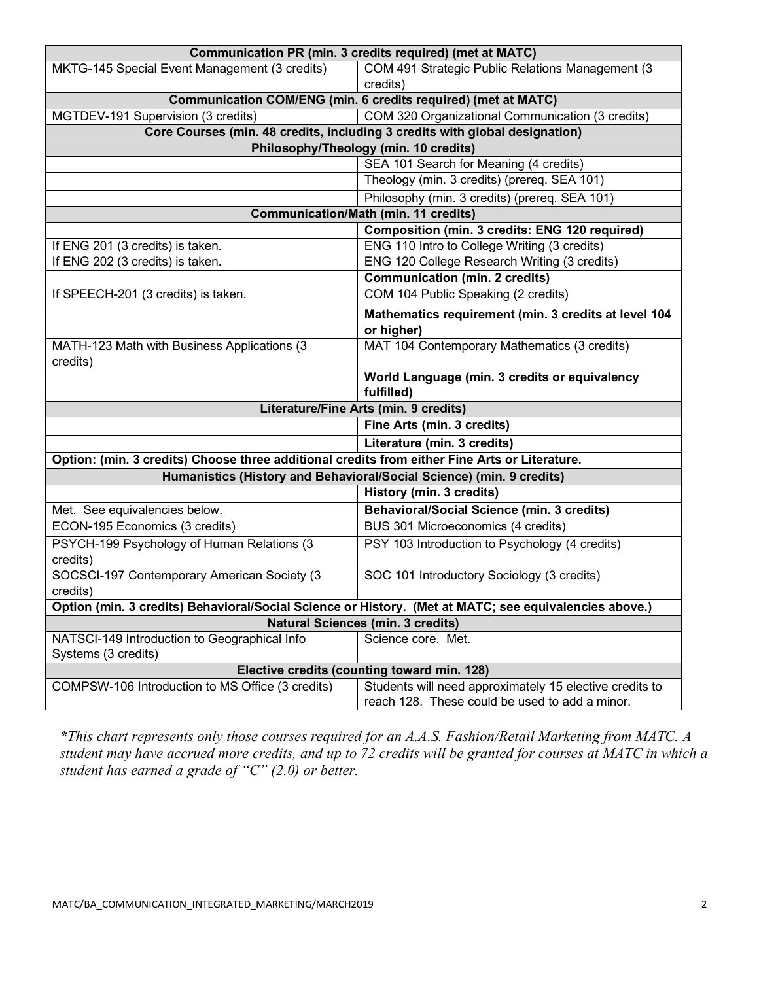| Communication PR (min. 3 credits required) (met at MATC)                                              |                                                                             |
|-------------------------------------------------------------------------------------------------------|-----------------------------------------------------------------------------|
| MKTG-145 Special Event Management (3 credits)                                                         | COM 491 Strategic Public Relations Management (3                            |
|                                                                                                       | credits)                                                                    |
| Communication COM/ENG (min. 6 credits required) (met at MATC)                                         |                                                                             |
| MGTDEV-191 Supervision (3 credits)                                                                    | COM 320 Organizational Communication (3 credits)                            |
|                                                                                                       | Core Courses (min. 48 credits, including 3 credits with global designation) |
| Philosophy/Theology (min. 10 credits)                                                                 |                                                                             |
|                                                                                                       | SEA 101 Search for Meaning (4 credits)                                      |
|                                                                                                       | Theology (min. 3 credits) (prereq. SEA 101)                                 |
|                                                                                                       | Philosophy (min. 3 credits) (prereq. SEA 101)                               |
| <b>Communication/Math (min. 11 credits)</b>                                                           |                                                                             |
|                                                                                                       | Composition (min. 3 credits: ENG 120 required)                              |
| If ENG 201 (3 credits) is taken.                                                                      | ENG 110 Intro to College Writing (3 credits)                                |
| If ENG 202 (3 credits) is taken.                                                                      | ENG 120 College Research Writing (3 credits)                                |
|                                                                                                       | <b>Communication (min. 2 credits)</b>                                       |
| If SPEECH-201 (3 credits) is taken.                                                                   | COM 104 Public Speaking (2 credits)                                         |
|                                                                                                       | Mathematics requirement (min. 3 credits at level 104                        |
|                                                                                                       | or higher)                                                                  |
| MATH-123 Math with Business Applications (3                                                           | MAT 104 Contemporary Mathematics (3 credits)                                |
| credits)                                                                                              |                                                                             |
|                                                                                                       | World Language (min. 3 credits or equivalency                               |
|                                                                                                       | fulfilled)                                                                  |
| Literature/Fine Arts (min. 9 credits)                                                                 |                                                                             |
|                                                                                                       | Fine Arts (min. 3 credits)                                                  |
|                                                                                                       | Literature (min. 3 credits)                                                 |
| Option: (min. 3 credits) Choose three additional credits from either Fine Arts or Literature.         |                                                                             |
| Humanistics (History and Behavioral/Social Science) (min. 9 credits)                                  |                                                                             |
|                                                                                                       | History (min. 3 credits)                                                    |
| Met. See equivalencies below.                                                                         | <b>Behavioral/Social Science (min. 3 credits)</b>                           |
| ECON-195 Economics (3 credits)                                                                        | BUS 301 Microeconomics (4 credits)                                          |
| PSYCH-199 Psychology of Human Relations (3                                                            | PSY 103 Introduction to Psychology (4 credits)                              |
| credits)                                                                                              |                                                                             |
| SOCSCI-197 Contemporary American Society (3                                                           | SOC 101 Introductory Sociology (3 credits)                                  |
| credits)                                                                                              |                                                                             |
| Option (min. 3 credits) Behavioral/Social Science or History. (Met at MATC; see equivalencies above.) |                                                                             |
| <b>Natural Sciences (min. 3 credits)</b>                                                              |                                                                             |
| NATSCI-149 Introduction to Geographical Info                                                          | Science core. Met.                                                          |
| Systems (3 credits)                                                                                   |                                                                             |
| Elective credits (counting toward min. 128)                                                           |                                                                             |
| COMPSW-106 Introduction to MS Office (3 credits)                                                      | Students will need approximately 15 elective credits to                     |
|                                                                                                       | reach 128. These could be used to add a minor.                              |

*\*This chart represents only those courses required for an A.A.S. Fashion/Retail Marketing from MATC. A student may have accrued more credits, and up to 72 credits will be granted for courses at MATC in which a student has earned a grade of "C" (2.0) or better.*